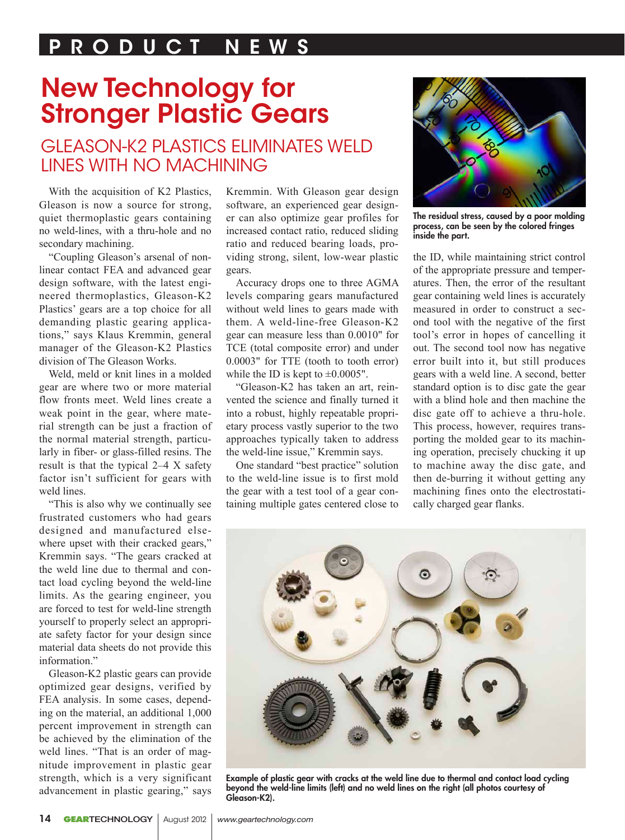### P R O D U C T N E W S

# New Technology for Stronger Plastic Gears

### Gleason-K2 Plastics Eliminates Weld Lines with No Machining

With the acquisition of K2 Plastics, Gleason is now a source for strong, quiet thermoplastic gears containing no weld-lines, with a thru-hole and no secondary machining.

"Coupling Gleason's arsenal of nonlinear contact FEA and advanced gear design software, with the latest engineered thermoplastics, Gleason-K2 Plastics' gears are a top choice for all demanding plastic gearing applications," says Klaus Kremmin, general manager of the Gleason-K2 Plastics division of The Gleason Works.

Weld, meld or knit lines in a molded gear are where two or more material flow fronts meet. Weld lines create a weak point in the gear, where material strength can be just a fraction of the normal material strength, particularly in fiber- or glass-filled resins. The result is that the typical 2–4 X safety factor isn't sufficient for gears with weld lines.

"This is also why we continually see frustrated customers who had gears designed and manufactured elsewhere upset with their cracked gears," Kremmin says. "The gears cracked at the weld line due to thermal and contact load cycling beyond the weld-line limits. As the gearing engineer, you are forced to test for weld-line strength yourself to properly select an appropriate safety factor for your design since material data sheets do not provide this information."

Gleason-K2 plastic gears can provide optimized gear designs, verified by FEA analysis. In some cases, depending on the material, an additional 1,000 percent improvement in strength can be achieved by the elimination of the weld lines. "That is an order of magnitude improvement in plastic gear strength, which is a very significant advancement in plastic gearing," says

Kremmin. With Gleason gear design software, an experienced gear designer can also optimize gear profiles for increased contact ratio, reduced sliding ratio and reduced bearing loads, providing strong, silent, low-wear plastic gears.

Accuracy drops one to three AGMA levels comparing gears manufactured without weld lines to gears made with them. A weld-line-free Gleason-K2 gear can measure less than 0.0010" for TCE (total composite error) and under 0.0003" for TTE (tooth to tooth error) while the ID is kept to  $\pm 0.0005$ ".

"Gleason-K2 has taken an art, reinvented the science and finally turned it into a robust, highly repeatable proprietary process vastly superior to the two approaches typically taken to address the weld-line issue," Kremmin says.

One standard "best practice" solution to the weld-line issue is to first mold the gear with a test tool of a gear containing multiple gates centered close to



The residual stress, caused by a poor molding process, can be seen by the colored fringes inside the part.

the ID, while maintaining strict control of the appropriate pressure and temperatures. Then, the error of the resultant gear containing weld lines is accurately measured in order to construct a second tool with the negative of the first tool's error in hopes of cancelling it out. The second tool now has negative error built into it, but still produces gears with a weld line. A second, better standard option is to disc gate the gear with a blind hole and then machine the disc gate off to achieve a thru-hole. This process, however, requires transporting the molded gear to its machining operation, precisely chucking it up to machine away the disc gate, and then de-burring it without getting any machining fines onto the electrostatically charged gear flanks.



Example of plastic gear with cracks at the weld line due to thermal and contact load cycling beyond the weld-line limits (left) and no weld lines on the right (all photos courtesy of Gleason-K2).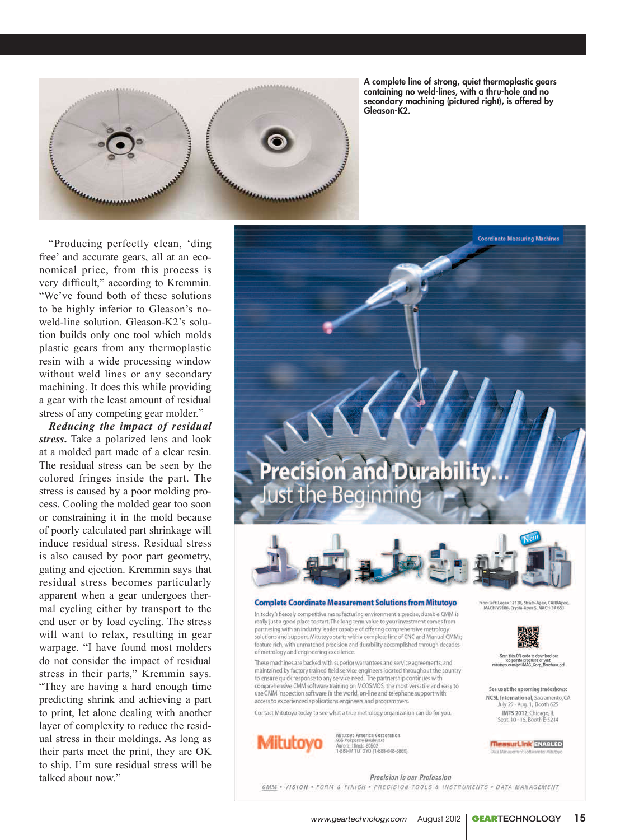

A complete line of strong, quiet thermoplastic gears containing no weld-lines, with a thru-hole and no secondary machining (pictured right), is offered by Gleason-K2.

"Producing perfectly clean, 'ding free' and accurate gears, all at an economical price, from this process is very difficult," according to Kremmin. "We've found both of these solutions to be highly inferior to Gleason's noweld-line solution. Gleason-K2's solution builds only one tool which molds plastic gears from any thermoplastic resin with a wide processing window without weld lines or any secondary machining. It does this while providing a gear with the least amount of residual stress of any competing gear molder."

*Reducing the impact of residual stress***.** Take a polarized lens and look at a molded part made of a clear resin. The residual stress can be seen by the colored fringes inside the part. The stress is caused by a poor molding process. Cooling the molded gear too soon or constraining it in the mold because of poorly calculated part shrinkage will induce residual stress. Residual stress is also caused by poor part geometry, gating and ejection. Kremmin says that residual stress becomes particularly apparent when a gear undergoes thermal cycling either by transport to the end user or by load cycling. The stress will want to relax, resulting in gear warpage. "I have found most molders do not consider the impact of residual stress in their parts," Kremmin says. "They are having a hard enough time predicting shrink and achieving a part to print, let alone dealing with another layer of complexity to reduce the residual stress in their moldings. As long as their parts meet the print, they are OK to ship. I'm sure residual stress will be talked about now."





#### **Complete Coordinate Measurement Solutions from Mitutoyo**

In today's fiercely competitive manufacturing environment a precise, durable CMM is really just a good place to start. The long term value to your investment comes from partnering with an industry leader capable of offering comprehensive metrology solutions and support. Mitutoyo starts with a complete line of CNC and Manual CMMs; feature rich, with unmatched precision and durability accomplished through decades of metrology and engineering excellence.

These machines are backed with superior warrantees and service agreements, and maintained by factory trained field service engineers located throughout the country to ensure quick response to any service need. The partnership continues with comprehensive CMM software training on MCOSMOS, the most versatile and easy to use CMM inspection software in the world, on-line and telephone support with access to experienced applications engineers and programmers.

Contact Mitutoyo today to see what a true metrology organization can do for you.



Mitutoyo America Corporation<br>965 Corporate Boulevard ses corporate Boulevare<br>Aurora, Illinois 60502<br>1-888-MITUTOYO (1-888-648-8869) .<br>H. Legex 12128, Strato-Apex, CARBApe<br>H-V9106, Crysta-Amex S. MACH-2A 653



.<br>Scan this QR code to erate brochure or visit<br>/pdf/MAC\_Corp\_Brochure.pdf

See us at the upcoming tradeshows: NCSL International, Sacramento, CA July 29 - Aug. 1, Booth 625 **IMTS 2012**, Chicago, IL<br>Sept. 10 - 15, Booth E-5214

**MeasurLink** ENABLED

Precision is our Profession

CMM . VISION . FORM & FINISH . PRECISION TOOLS & INSTRUMENTS . DATA MANAGEMENT